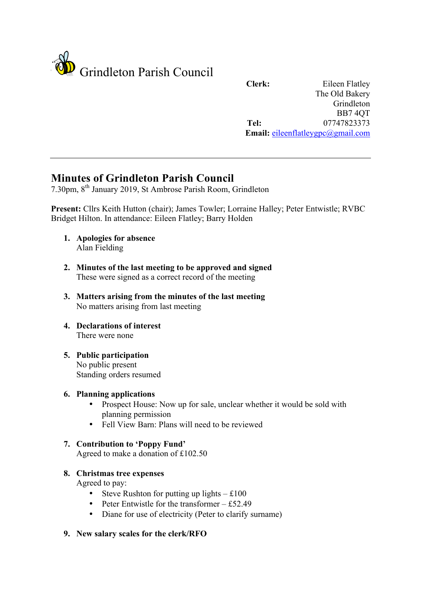

**Clerk:** Eileen Flatley The Old Bakery Grindleton BB7 4QT **Tel:** 07747823373 **Email:** eileenflatleygpc@gmail.com

# **Minutes of Grindleton Parish Council**

7.30pm, 8th January 2019, St Ambrose Parish Room, Grindleton

**Present:** Cllrs Keith Hutton (chair); James Towler; Lorraine Halley; Peter Entwistle; RVBC Bridget Hilton. In attendance: Eileen Flatley; Barry Holden

- **1. Apologies for absence** Alan Fielding
- **2. Minutes of the last meeting to be approved and signed** These were signed as a correct record of the meeting
- **3. Matters arising from the minutes of the last meeting** No matters arising from last meeting
- **4. Declarations of interest** There were none
- **5. Public participation** No public present Standing orders resumed

### **6. Planning applications**

- Prospect House: Now up for sale, unclear whether it would be sold with planning permission
- Fell View Barn: Plans will need to be reviewed

## **7. Contribution to 'Poppy Fund'**

Agreed to make a donation of £102.50

### **8. Christmas tree expenses**

Agreed to pay:

- Steve Rushton for putting up lights  $£100$
- Peter Entwistle for the transformer  $-$  £52.49
- Diane for use of electricity (Peter to clarify surname)
- **9. New salary scales for the clerk/RFO**